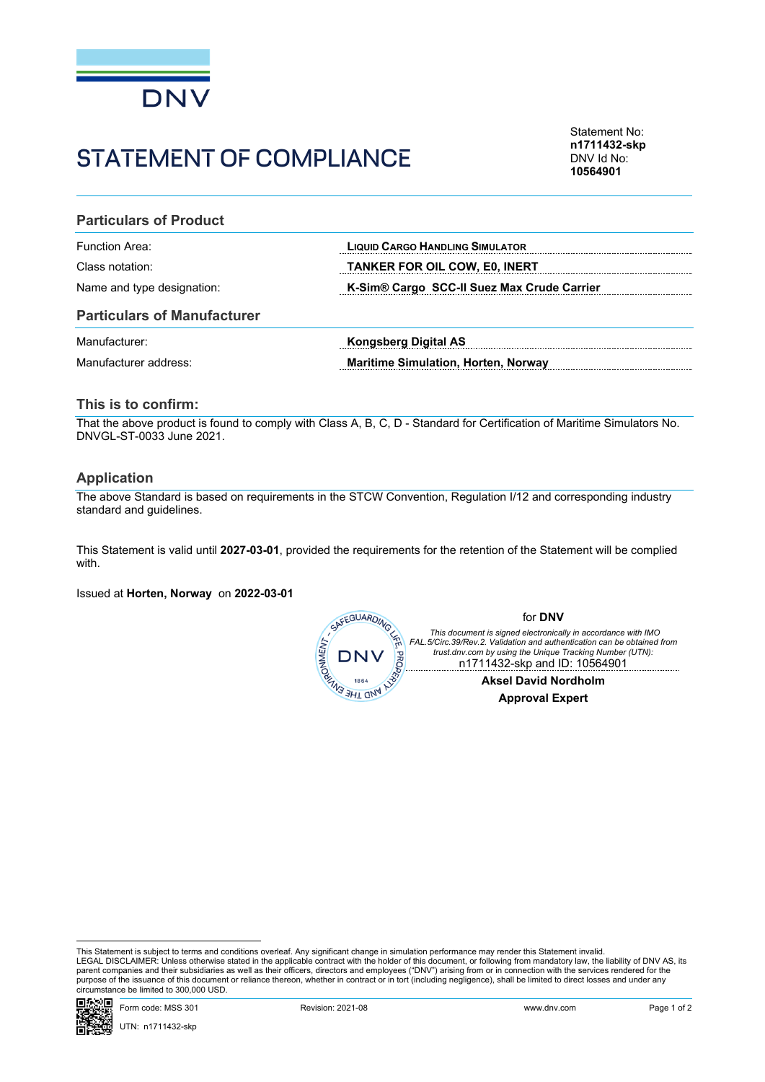

# STATEMENT OF COMPLIANCE

Statement No: **n1711432-skp** DNV Id No: **10564901**

### **Particulars of Product**

Function Area: **LIQUID CARGO HANDLING SIMULATOR**

Class notation: **TANKER FOR OIL COW, E0, INERT** 

Name and type designation: **K-Sim® Cargo SCC-II Suez Max Crude Carrier**

#### **Particulars of Manufacturer**

| Manufacturer:         | Kongsberg Digital AS                       |
|-----------------------|--------------------------------------------|
| Manufacturer address: | <b>Maritime Simulation, Horten, Norway</b> |

#### **This is to confirm:**

That the above product is found to comply with Class A, B, C, D - Standard for Certification of Maritime Simulators No. DNVGL-ST-0033 June 2021.

#### **Application**

The above Standard is based on requirements in the STCW Convention, Regulation I/12 and corresponding industry standard and guidelines.

This Statement is valid until **2027-03-01**, provided the requirements for the retention of the Statement will be complied with.

Issued at **Horten, Norway** on **2022-03-01**



This Statement is subject to terms and conditions overleaf. Any significant change in simulation performance may render this Statement invalid.<br>LEGAL DISCLAIMER: Unless otherwise stated in the applicable contract with the purpose of the issuance of this document or reliance thereon, whether in contract or in tort (including negligence), shall be limited to direct losses and under any circumstance be limited to 300,000 USD.